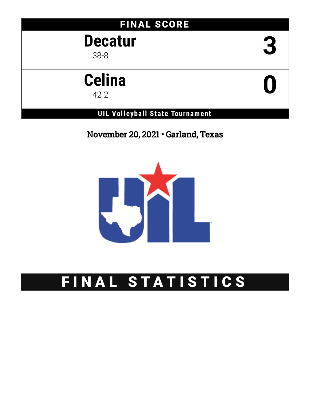## FINAL SCORE

# **Decatur** 38-8 **3**

# **Celina elina**<br><sup>42-2</sup>

### **UIL Volleyball State Tournament**

November 20, 2021 • Garland, Texas



# FINAL STATISTICS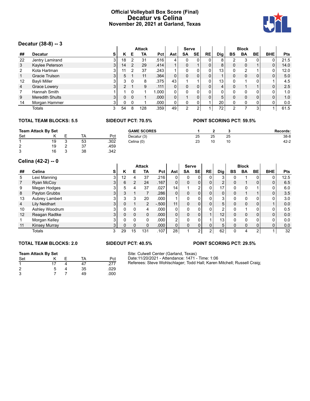#### **Official Volleyball Box Score (Final) Decatur vs Celina November 20, 2021 at Garland, Texas**



#### **Decatur (38-8) -- 3**

|    |                        |    |               |          | <b>Attack</b> |            |                | <b>Serve</b> |    |              |     |    | <b>Block</b> |    |            |            |
|----|------------------------|----|---------------|----------|---------------|------------|----------------|--------------|----|--------------|-----|----|--------------|----|------------|------------|
| ## | <b>Decatur</b>         | s  | κ             | Е        | TA            | <b>Pct</b> | Astl           | <b>SA</b>    | SE | <b>RE</b>    | Dig | BS | <b>BA</b>    | BE | <b>BHE</b> | <b>Pts</b> |
| 22 | Jentry Lamirand        | 3  | 18            |          | 31            | .516       |                | 0            |    | 0            | 8   | 2  | 3            |    |            | 21.5       |
| 3  | Kaylee Peterson        | 31 | 14            |          | 29            | .414       |                | 0            |    | 0            | 8   |    | $\Omega$     |    | 0          | 14.0       |
| 2  | Kota Hartman           |    | 11            |          | 37            | .243       |                | 0            |    | 0            | 13  |    | 2            |    | 0          | 12.0       |
|    | Gracie Trulson         |    | 5.            |          | 11            | .364       | 0              | $\Omega$     | 0  | 0            |     |    | $\Omega$     | 0  | 0          | 5.0        |
| 12 | <b>Bayli Miller</b>    |    | 3             | $\Omega$ | 8             | .375       | 43             |              |    | 0            | 13  |    |              |    |            | 4.5        |
| 4  | Grace Lowery           |    | $\mathcal{P}$ |          | 9             | .111       | 0              | $\Omega$     | 0  | $\Omega$     | 4   |    |              |    | 0          | 2.5        |
|    | Hannah Smith           |    |               | $\Omega$ |               | 1.000      |                | 0            |    | 0            | 0   |    | $\Omega$     | 0  | 0          | 1.0        |
| 9  | <b>Meredith Shults</b> | 3  | 0             | $\Omega$ |               | .000       | 0 <sub>1</sub> |              | 0  | $\mathbf{0}$ | 5   |    | $\Omega$     | 0  | 0          | 1.0        |
| 14 | Morgan Hammer          | 3  | 0             | $\Omega$ |               | .000       |                | $\Omega$     | 0  |              | 20  | 0  | 0            | 0  | 0          | 0.0        |
|    | Totals                 |    | 54            | 8        | 128           | .359       | 49             | 2            |    |              | 72  |    |              | 3  |            | 61.5       |

#### **TOTAL TEAM BLOCKS: 5.5 SIDEOUT PCT: 70.5% POINT SCORING PCT: 59.5%**

| <b>Team Attack By Set</b> |    |  | <b>GAME SCORES</b> |      |             |    | <b>Records:</b> |    |          |
|---------------------------|----|--|--------------------|------|-------------|----|-----------------|----|----------|
| Set                       |    |  | TA                 | Pct  | Decatur (3) | 25 | 25              | 25 | $38 - 8$ |
|                           | 19 |  | 53                 | .302 | Celina (0)  | 23 | 10              | 10 | $42 - 2$ |
| ົ<br>∠                    | 19 |  | 37                 | .459 |             |    |                 |    |          |
| 3                         | 16 |  | 38                 | .342 |             |    |                 |    |          |

#### **Celina (42-2) -- 0**

|                |                |                |              |    | <b>Attack</b> |                   |     | <b>Serve</b> |           |                 |                 |          | <b>Block</b> |                |            |      |
|----------------|----------------|----------------|--------------|----|---------------|-------------------|-----|--------------|-----------|-----------------|-----------------|----------|--------------|----------------|------------|------|
| ##             | Celina         | s              | Κ            | Е  | <b>TA</b>     | Pct I             | Ast | <b>SA</b>    | <b>SE</b> | RE <sub>1</sub> | Dig             | BS       | <b>BA</b>    | BЕ             | <b>BHE</b> | Pts  |
| 5              | Lexi Manning   | 3              | 12           |    | 37            | .216              |     | 0            | 0         | 0               | 3               |          |              |                | 0          | 12.5 |
|                | Ryan McCoy     | 3              | 6            |    | 24            | .167              | 0   | 0            | 0         | 0               | C<br>∠          | $\Omega$ |              | 0              | 0          | 6.5  |
| 9              | Megan Hodges   | 3              | 5            |    | 37            | .027              | 14  |              | 2         | 0               | 17              |          |              |                | 0          | 6.0  |
| 8              | Payton Grubbs  | 3 <sup>1</sup> | 3            |    |               | .286              | 0   | 0            | 0         | $\mathbf 0$     | 0               | $\Omega$ |              |                | 0          | 3.5  |
| 13             | Aubrey Lambert | 3              | 3            | 3  | 20            | .000              |     | 0            | 0         | 0               | 3               |          | O            | 0              | 0          | 3.0  |
| $\overline{4}$ | Lily Neidhart  | 3              | <sup>0</sup> |    | 2             | $-.500$           | 11  | 0            | 0         | 0               | 5               |          | $\Omega$     | 0              |            | 0.0  |
| 10             | Ashley Woodrum |                | 0            |    | 4             | .000              | 0   | 0            | 0         |                 | 2               |          |              |                | 0          | 0.5  |
| 12             | Reagan Radtke  | 3              | $\Omega$     |    | $\Omega$      | .000 <sub>1</sub> | 0   | $\mathbf{0}$ | 0         |                 | 12 <sup>°</sup> |          | $\Omega$     | $\Omega$       | 0          | 0.0  |
|                | Morgan Kelley  |                | 0            |    |               | .000              | C   | 0            | 0         |                 | 13 <sub>1</sub> |          | $\Omega$     | 0              | 0          | 0.0  |
| 11             | Kinsey Murray  | 3              | $\Omega$     |    | 0             | .000 <sub>1</sub> | 0   | 0            | 0         | 0               | 5               | $\Omega$ | $\Omega$     | $\overline{0}$ | 0          | 0.0  |
|                | Totals         | 3              | 29           | 15 | 131           | .107              | 28  |              | 2         | ◠               | 62              |          |              | ົ              |            | 32   |

#### **TOTAL TEAM BLOCKS: 2.0 SIDEOUT PCT: 40.5% POINT SCORING PCT: 29.5%**

#### **Team Attack By Set**

| Set                  |    | TA | Pct  |
|----------------------|----|----|------|
| $\blacktriangleleft$ | 17 | 47 | .277 |
| $\overline{2}$       | 5  | 35 | .029 |
| 3                    |    | 49 | .000 |

Site: Culwell Center (Garland, Texas) Date:11/20/2021 - Attendance: 1471 - Time: 1:06 Referees: Steve Wohlschlager; Todd Hall; Karen Mitchell; Russell Craig;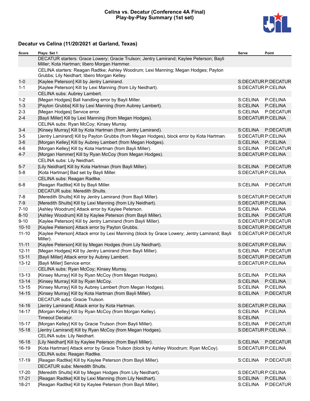#### **Celina vs. Decatur (Conference 4A Final) Play-by-Play Summary (1st set)**



### **Decatur vs Celina (11/20/2021 at Garland, Texas)**

| <b>Score</b> | Plays: Set 1                                                                                                                           | Serve                | Point               |
|--------------|----------------------------------------------------------------------------------------------------------------------------------------|----------------------|---------------------|
|              | DECATUR starters: Grace Lowery; Gracie Trulson; Jentry Lamirand; Kaylee Peterson; Bayli<br>Miller; Kota Hartman; libero Morgan Hammer. |                      |                     |
|              | CELINA starters: Reagan Radtke; Ashley Woodrum; Lexi Manning; Megan Hodges; Payton<br>Grubbs; Lily Neidhart; libero Morgan Kelley.     |                      |                     |
| $1 - 0$      | [Kaylee Peterson] Kill by Jentry Lamirand.                                                                                             |                      | S:DECATUR P:DECATUR |
| $1 - 1$      | [Kaylee Peterson] Kill by Lexi Manning (from Lily Neidhart).                                                                           |                      | S:DECATUR P:CELINA  |
|              | CELINA subs: Aubrey Lambert.                                                                                                           |                      |                     |
| $1 - 2$      | [Megan Hodges] Ball handling error by Bayli Miller.                                                                                    | S:CELINA             | P:CELINA            |
| $1 - 3$      | [Payton Grubbs] Kill by Lexi Manning (from Aubrey Lambert).                                                                            | S:CELINA             | P:CELINA            |
| $2 - 3$      | [Megan Hodges] Service error.                                                                                                          | S:CELINA             | P:DECATUR           |
| $2 - 4$      | [Bayli Miller] Kill by Lexi Manning (from Megan Hodges).                                                                               |                      | S:DECATUR P:CELINA  |
|              | CELINA subs: Ryan McCoy; Kinsey Murray.                                                                                                |                      |                     |
| $3 - 4$      | [Kinsey Murray] Kill by Kota Hartman (from Jentry Lamirand).                                                                           | S:CELINA             | P:DECATUR           |
| $3-5$        | [Jentry Lamirand] Kill by Payton Grubbs (from Megan Hodges), block error by Kota Hartman.                                              |                      | S:DECATUR P:CELINA  |
| $3-6$        | [Morgan Kelley] Kill by Aubrey Lambert (from Megan Hodges).                                                                            | S:CELINA             | P:CELINA            |
| $4-6$        | [Morgan Kelley] Kill by Kota Hartman (from Bayli Miller).                                                                              | S:CELINA             | P:DECATUR           |
| $4 - 7$      | [Morgan Hammer] Kill by Ryan McCoy (from Megan Hodges).                                                                                |                      | S:DECATUR P:CELINA  |
|              | CELINA subs: Lily Neidhart.                                                                                                            |                      |                     |
| $5-7$        | [Lily Neidhart] Kill by Kota Hartman (from Bayli Miller).                                                                              | S:CELINA             | P:DECATUR           |
| $5-8$        | [Kota Hartman] Bad set by Bayli Miller.                                                                                                |                      | S:DECATUR P:CELINA  |
|              | CELINA subs: Reagan Radtke.                                                                                                            |                      |                     |
| $6-8$        | [Reagan Radtke] Kill by Bayli Miller.                                                                                                  | S:CELINA             | P:DECATUR           |
|              | <b>DECATUR subs: Meredith Shults.</b>                                                                                                  |                      |                     |
| $7 - 8$      | [Meredith Shults] Kill by Jentry Lamirand (from Bayli Miller).                                                                         |                      | S:DECATUR P:DECATUR |
| $7-9$        | [Meredith Shults] Kill by Lexi Manning (from Lily Neidhart).                                                                           |                      | S:DECATUR P:CELINA  |
| $7 - 10$     | [Ashley Woodrum] Attack error by Kaylee Peterson.                                                                                      |                      | S:CELINA P:CELINA   |
| $8 - 10$     | [Ashley Woodrum] Kill by Kaylee Peterson (from Bayli Miller).                                                                          | S:CELINA             | P:DECATUR           |
| $9 - 10$     | [Kaylee Peterson] Kill by Jentry Lamirand (from Bayli Miller).                                                                         |                      | S:DECATUR P:DECATUR |
| $10 - 10$    | [Kaylee Peterson] Attack error by Payton Grubbs.                                                                                       |                      | S:DECATUR P:DECATUR |
| $11 - 10$    | [Kaylee Peterson] Attack error by Lexi Manning (block by Grace Lowery; Jentry Lamirand; Bayli<br>Miller).                              |                      | S:DECATUR P:DECATUR |
| $11 - 11$    | [Kaylee Peterson] Kill by Megan Hodges (from Lily Neidhart).                                                                           |                      | S:DECATUR P:CELINA  |
| $12 - 11$    | [Megan Hodges] Kill by Jentry Lamirand (from Bayli Miller).                                                                            |                      | S:CELINA P:DECATUR  |
| $13 - 11$    | [Bayli Miller] Attack error by Aubrey Lambert.                                                                                         |                      | S:DECATUR P:DECATUR |
| $13 - 12$    | [Bayli Miller] Service error.                                                                                                          |                      | S:DECATUR P:CELINA  |
|              | CELINA subs: Ryan McCoy; Kinsey Murray.                                                                                                |                      |                     |
| $13 - 13$    | [Kinsey Murray] Kill by Ryan McCoy (from Megan Hodges).                                                                                | S:CELINA             | P:CELINA            |
| $13 - 14$    | [Kinsey Murray] Kill by Ryan McCoy.                                                                                                    | S:CELINA             | P:CELINA            |
| $13 - 15$    | [Kinsey Murray] Kill by Aubrey Lambert (from Megan Hodges).                                                                            | S:CELINA             | P:CELINA            |
| $14 - 15$    | [Kinsey Murray] Kill by Kota Hartman (from Bayli Miller).                                                                              | S:CELINA             | P:DECATUR           |
|              | DECATUR subs: Gracie Trulson.                                                                                                          |                      |                     |
| $14 - 16$    | [Jentry Lamirand] Attack error by Kota Hartman.                                                                                        |                      | S:DECATUR P:CELINA  |
| $14 - 17$    | [Morgan Kelley] Kill by Ryan McCoy (from Morgan Kelley).                                                                               | S:CELINA<br>S:CELINA | P:CELINA            |
| $15 - 17$    | Timeout Decatur.                                                                                                                       | S:CELINA             | P:DECATUR           |
| $15 - 18$    | [Morgan Kelley] Kill by Gracie Trulson (from Bayli Miller).<br>[Jentry Lamirand] Kill by Ryan McCoy (from Megan Hodges).               |                      | S:DECATUR P:CELINA  |
|              | CELINA subs: Lily Neidhart.                                                                                                            |                      |                     |
| $16 - 18$    | [Lily Neidhart] Kill by Kaylee Peterson (from Bayli Miller).                                                                           | S:CELINA             | P:DECATUR           |
| 16-19        | [Kota Hartman] Attack error by Gracie Trulson (block by Ashley Woodrum; Ryan McCoy).                                                   |                      | S:DECATUR P:CELINA  |
|              | CELINA subs: Reagan Radtke.                                                                                                            |                      |                     |
| 17-19        | [Reagan Radtke] Kill by Kaylee Peterson (from Bayli Miller).                                                                           | S:CELINA             | P:DECATUR           |
|              | DECATUR subs: Meredith Shults.                                                                                                         |                      |                     |
| 17-20        | [Meredith Shults] Kill by Megan Hodges (from Lily Neidhart).                                                                           |                      | S:DECATUR P:CELINA  |
| $17 - 21$    | [Reagan Radtke] Kill by Lexi Manning (from Lily Neidhart).                                                                             | S:CELINA             | P:CELINA            |
| 18-21        | [Reagan Radtke] Kill by Kaylee Peterson (from Bayli Miller).                                                                           | S:CELINA             | P:DECATUR           |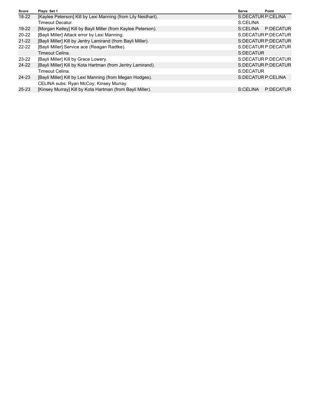| Score     | Plays: Set 1                                                 | Serve                | Point                 |
|-----------|--------------------------------------------------------------|----------------------|-----------------------|
| 18-22     | [Kaylee Peterson] Kill by Lexi Manning (from Lily Neidhart). | S: DECATUR P: CELINA |                       |
|           | Timeout Decatur.                                             | S:CELINA             |                       |
| 19-22     | [Morgan Kelley] Kill by Bayli Miller (from Kaylee Peterson). | S:CELINA             | P:DECATUR             |
| $20 - 22$ | [Bayli Miller] Attack error by Lexi Manning.                 |                      | S:DECATUR P:DECATUR   |
| 21-22     | [Bayli Miller] Kill by Jentry Lamirand (from Bayli Miller).  |                      | S: DECATUR P: DECATUR |
| $22 - 22$ | [Bayli Miller] Service ace (Reagan Radtke).                  |                      | S:DECATUR P:DECATUR   |
|           | Timeout Celina.                                              | S:DECATUR            |                       |
| $23 - 22$ | [Bayli Miller] Kill by Grace Lowery.                         |                      | S:DECATUR P:DECATUR   |
| 24-22     | [Bayli Miller] Kill by Kota Hartman (from Jentry Lamirand).  |                      | S: DECATUR P: DECATUR |
|           | Timeout Celina.                                              | S:DECATUR            |                       |
| $24 - 23$ | [Bayli Miller] Kill by Lexi Manning (from Megan Hodges).     | S: DECATUR P: CELINA |                       |
|           | CELINA subs: Ryan McCoy; Kinsey Murray.                      |                      |                       |
| $25 - 23$ | [Kinsey Murray] Kill by Kota Hartman (from Bayli Miller).    | S:CELINA             | P:DECATUR             |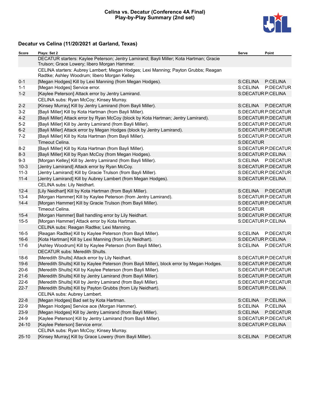#### **Celina vs. Decatur (Conference 4A Final) Play-by-Play Summary (2nd set)**



### **Decatur vs Celina (11/20/2021 at Garland, Texas)**

| Score     | Plays: Set 2                                                                                                                           | Serve              | Point               |
|-----------|----------------------------------------------------------------------------------------------------------------------------------------|--------------------|---------------------|
|           | DECATUR starters: Kaylee Peterson; Jentry Lamirand; Bayli Miller; Kota Hartman; Gracie<br>Trulson; Grace Lowery; libero Morgan Hammer. |                    |                     |
|           | CELINA starters: Aubrey Lambert; Megan Hodges; Lexi Manning; Payton Grubbs; Reagan<br>Radtke; Ashley Woodrum; libero Morgan Kelley.    |                    |                     |
| $0 - 1$   | [Megan Hodges] Kill by Lexi Manning (from Megan Hodges).                                                                               | S:CELINA           | P:CELINA            |
| $1 - 1$   | [Megan Hodges] Service error.                                                                                                          | S:CELINA           | P:DECATUR           |
| $1 - 2$   | [Kaylee Peterson] Attack error by Jentry Lamirand.                                                                                     | S:DECATUR P:CELINA |                     |
|           | CELINA subs: Ryan McCoy; Kinsey Murray.                                                                                                |                    |                     |
| $2 - 2$   | [Kinsey Murray] Kill by Jentry Lamirand (from Bayli Miller).                                                                           | S:CELINA           | P:DECATUR           |
| $3 - 2$   | [Bayli Miller] Kill by Kota Hartman (from Bayli Miller).                                                                               |                    | S:DECATUR P:DECATUR |
| $4 - 2$   | [Bayli Miller] Attack error by Ryan McCoy (block by Kota Hartman; Jentry Lamirand).                                                    |                    | S:DECATUR P:DECATUR |
| $5-2$     | [Bayli Miller] Kill by Jentry Lamirand (from Bayli Miller).                                                                            |                    | S:DECATUR P:DECATUR |
| $6 - 2$   | [Bayli Miller] Attack error by Megan Hodges (block by Jentry Lamirand).                                                                |                    | S:DECATUR P:DECATUR |
| $7 - 2$   | [Bayli Miller] Kill by Kota Hartman (from Bayli Miller).                                                                               |                    | S:DECATUR P:DECATUR |
|           | Timeout Celina.                                                                                                                        | S:DECATUR          |                     |
| $8 - 2$   | [Bayli Miller] Kill by Kota Hartman (from Bayli Miller).                                                                               |                    | S:DECATUR P:DECATUR |
| $8 - 3$   | [Bayli Miller] Kill by Ryan McCoy (from Megan Hodges).                                                                                 | S:DECATUR P:CELINA |                     |
| $9 - 3$   | [Morgan Kelley] Kill by Jentry Lamirand (from Bayli Miller).                                                                           |                    | S:CELINA P:DECATUR  |
| $10-3$    | [Jentry Lamirand] Attack error by Ryan McCoy.                                                                                          |                    | S:DECATUR P:DECATUR |
| $11 - 3$  | [Jentry Lamirand] Kill by Gracie Trulson (from Bayli Miller).                                                                          |                    | S:DECATUR P:DECATUR |
| $11 - 4$  | [Jentry Lamirand] Kill by Aubrey Lambert (from Megan Hodges).                                                                          | S:DECATUR P:CELINA |                     |
|           | CELINA subs: Lily Neidhart.                                                                                                            |                    |                     |
| $12 - 4$  | [Lily Neidhart] Kill by Kota Hartman (from Bayli Miller).                                                                              | S:CELINA           | P:DECATUR           |
| $13 - 4$  | [Morgan Hammer] Kill by Kaylee Peterson (from Jentry Lamirand).                                                                        |                    | S:DECATUR P:DECATUR |
| $14 - 4$  | [Morgan Hammer] Kill by Gracie Trulson (from Bayli Miller).                                                                            |                    | S:DECATUR P:DECATUR |
|           | Timeout Celina.                                                                                                                        | S:DECATUR          |                     |
| $15 - 4$  | [Morgan Hammer] Ball handling error by Lily Neidhart.                                                                                  |                    | S:DECATUR P:DECATUR |
| $15 - 5$  | [Morgan Hammer] Attack error by Kota Hartman.                                                                                          | S:DECATUR P:CELINA |                     |
|           | CELINA subs: Reagan Radtke; Lexi Manning.                                                                                              |                    |                     |
| $16-5$    | [Reagan Radtke] Kill by Kaylee Peterson (from Bayli Miller).                                                                           |                    | S:CELINA P:DECATUR  |
| $16 - 6$  | [Kota Hartman] Kill by Lexi Manning (from Lily Neidhart).                                                                              | S:DECATUR P:CELINA |                     |
| $17-6$    | [Ashley Woodrum] Kill by Kaylee Peterson (from Bayli Miller).                                                                          |                    | S:CELINA P:DECATUR  |
|           | <b>DECATUR subs: Meredith Shults.</b>                                                                                                  |                    |                     |
| $18-6$    | [Meredith Shults] Attack error by Lily Neidhart.                                                                                       |                    | S:DECATUR P:DECATUR |
| $19-6$    | [Meredith Shults] Kill by Kaylee Peterson (from Bayli Miller), block error by Megan Hodges.                                            |                    | S:DECATUR P:DECATUR |
| $20 - 6$  | [Meredith Shults] Kill by Kaylee Peterson (from Bayli Miller).                                                                         |                    | S:DECATUR P:DECATUR |
| $21-6$    | [Meredith Shults] Kill by Jentry Lamirand (from Bayli Miller).                                                                         |                    | S:DECATUR P:DECATUR |
| $22-6$    | [Meredith Shults] Kill by Jentry Lamirand (from Bayli Miller).                                                                         |                    | S:DECATUR P:DECATUR |
| $22 - 7$  | [Meredith Shults] Kill by Payton Grubbs (from Lily Neidhart).                                                                          | S:DECATUR P:CELINA |                     |
|           | CELINA subs: Aubrey Lambert.                                                                                                           |                    |                     |
| $22 - 8$  | [Megan Hodges] Bad set by Kota Hartman.                                                                                                | S:CELINA           | P:CELINA            |
| $22-9$    | [Megan Hodges] Service ace (Morgan Hammer).                                                                                            | S:CELINA           | P:CELINA            |
| $23-9$    | [Megan Hodges] Kill by Jentry Lamirand (from Bayli Miller).                                                                            | S:CELINA           | P:DECATUR           |
| $24-9$    | [Kaylee Peterson] Kill by Jentry Lamirand (from Bayli Miller).                                                                         |                    | S:DECATUR P:DECATUR |
| $24 - 10$ | [Kaylee Peterson] Service error.                                                                                                       | S:DECATUR P:CELINA |                     |
|           | CELINA subs: Ryan McCoy; Kinsey Murray.                                                                                                |                    |                     |
| $25 - 10$ | [Kinsey Murray] Kill by Grace Lowery (from Bayli Miller).                                                                              | S:CELINA           | P:DECATUR           |